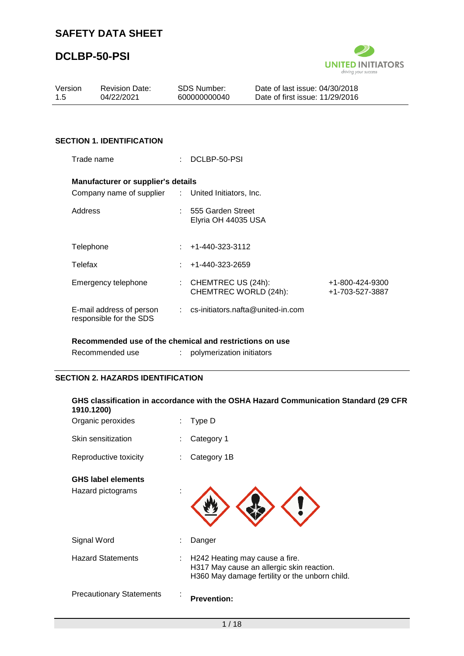# **DCLBP-50-PSI**



| Version<br>1.5                                      | <b>Revision Date:</b><br>04/22/2021                |   | <b>SDS Number:</b><br>600000000040          | Date of last issue: 04/30/2018<br>Date of first issue: 11/29/2016 |                                    |
|-----------------------------------------------------|----------------------------------------------------|---|---------------------------------------------|-------------------------------------------------------------------|------------------------------------|
|                                                     |                                                    |   |                                             |                                                                   |                                    |
|                                                     | <b>SECTION 1. IDENTIFICATION</b>                   |   |                                             |                                                                   |                                    |
|                                                     | Trade name                                         |   | DCLBP-50-PSI                                |                                                                   |                                    |
|                                                     | <b>Manufacturer or supplier's details</b>          |   |                                             |                                                                   |                                    |
|                                                     | Company name of supplier : United Initiators, Inc. |   |                                             |                                                                   |                                    |
| Address                                             |                                                    |   | 555 Garden Street<br>Elyria OH 44035 USA    |                                                                   |                                    |
| Telephone                                           |                                                    |   | +1-440-323-3112                             |                                                                   |                                    |
| Telefax                                             |                                                    |   | +1-440-323-2659                             |                                                                   |                                    |
|                                                     | Emergency telephone                                | ÷ | CHEMTREC US (24h):<br>CHEMTREC WORLD (24h): |                                                                   | +1-800-424-9300<br>+1-703-527-3887 |
| E-mail address of person<br>responsible for the SDS |                                                    |   | $:$ cs-initiators.nafta@united-in.com       |                                                                   |                                    |

#### **Recommended use of the chemical and restrictions on use**

| Recommended use | polymerization initiators |
|-----------------|---------------------------|
|                 |                           |

### **SECTION 2. HAZARDS IDENTIFICATION**

| 1910.1200)                                     |    | GHS classification in accordance with the OSHA Hazard Communication Standard (29 CFR                                          |
|------------------------------------------------|----|-------------------------------------------------------------------------------------------------------------------------------|
| Organic peroxides                              |    | Type D                                                                                                                        |
| Skin sensitization                             |    | Category 1                                                                                                                    |
| Reproductive toxicity                          |    | Category 1B                                                                                                                   |
| <b>GHS label elements</b><br>Hazard pictograms |    |                                                                                                                               |
| Signal Word                                    |    | Danger                                                                                                                        |
| <b>Hazard Statements</b>                       | t. | H242 Heating may cause a fire.<br>H317 May cause an allergic skin reaction.<br>H360 May damage fertility or the unborn child. |
| <b>Precautionary Statements</b>                |    | <b>Prevention:</b>                                                                                                            |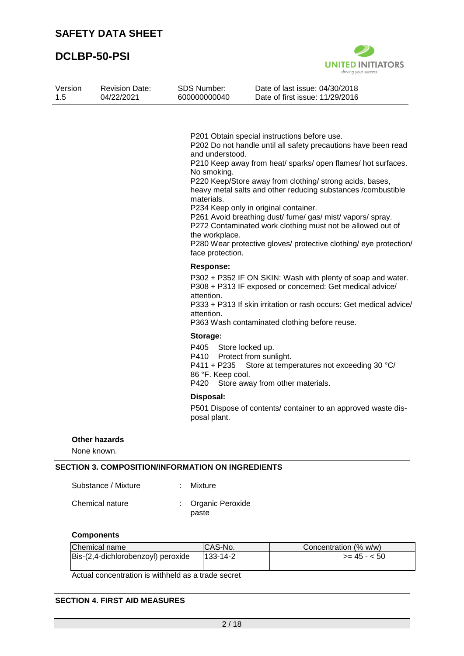

| Version<br>1.5 | <b>Revision Date:</b><br>04/22/2021 | <b>SDS Number:</b><br>600000000040                                                 | Date of last issue: 04/30/2018<br>Date of first issue: 11/29/2016                                                                                                                                                                                                                                                                                                                                                                                                                                                                                    |
|----------------|-------------------------------------|------------------------------------------------------------------------------------|------------------------------------------------------------------------------------------------------------------------------------------------------------------------------------------------------------------------------------------------------------------------------------------------------------------------------------------------------------------------------------------------------------------------------------------------------------------------------------------------------------------------------------------------------|
|                |                                     | and understood.<br>No smoking.<br>materials.<br>the workplace.<br>face protection. | P201 Obtain special instructions before use.<br>P202 Do not handle until all safety precautions have been read<br>P210 Keep away from heat/ sparks/ open flames/ hot surfaces.<br>P220 Keep/Store away from clothing/ strong acids, bases,<br>heavy metal salts and other reducing substances /combustible<br>P234 Keep only in original container.<br>P261 Avoid breathing dust/ fume/ gas/ mist/ vapors/ spray.<br>P272 Contaminated work clothing must not be allowed out of<br>P280 Wear protective gloves/ protective clothing/ eye protection/ |
|                |                                     | <b>Response:</b><br>attention.<br>attention.                                       | P302 + P352 IF ON SKIN: Wash with plenty of soap and water.<br>P308 + P313 IF exposed or concerned: Get medical advice/<br>P333 + P313 If skin irritation or rash occurs: Get medical advice/<br>P363 Wash contaminated clothing before reuse.                                                                                                                                                                                                                                                                                                       |
|                |                                     | Storage:<br>P405<br>P410<br>P411 + P235<br>86 °F. Keep cool.                       | Store locked up.<br>Protect from sunlight.<br>Store at temperatures not exceeding 30 °C/<br>P420 Store away from other materials.                                                                                                                                                                                                                                                                                                                                                                                                                    |
|                |                                     | Disposal:<br>posal plant.                                                          | P501 Dispose of contents/ container to an approved waste dis-                                                                                                                                                                                                                                                                                                                                                                                                                                                                                        |
|                | <b>Other hazards</b><br>None known. | <b>SECTION 3. COMPOSITION/INFORMATION ON INGREDIENTS</b>                           |                                                                                                                                                                                                                                                                                                                                                                                                                                                                                                                                                      |
|                | Substance / Mixture                 | Mixture                                                                            |                                                                                                                                                                                                                                                                                                                                                                                                                                                                                                                                                      |
|                | Chemical nature                     | Organic Peroxide<br>paste                                                          |                                                                                                                                                                                                                                                                                                                                                                                                                                                                                                                                                      |

### **Components**

| Chemical name                      | CAS-No.        | Concentration (% w/w) |
|------------------------------------|----------------|-----------------------|
| Bis-(2,4-dichlorobenzoyl) peroxide | $133 - 14 - 2$ | $>= 45 - 50$          |
|                                    |                |                       |

Actual concentration is withheld as a trade secret

### **SECTION 4. FIRST AID MEASURES**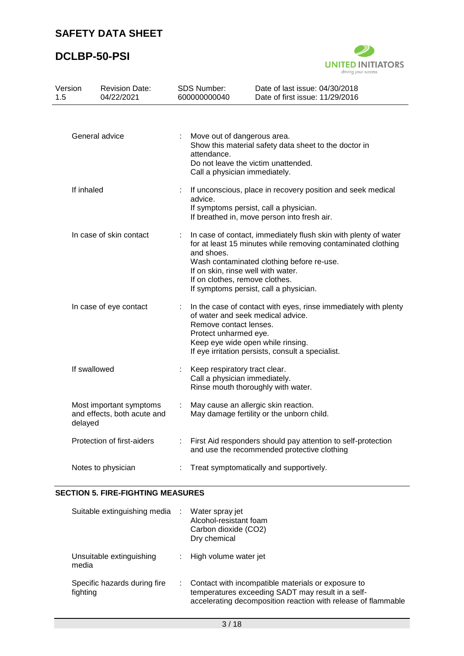### **DCLBP-50-PSI**



| Version<br>1.5 | <b>Revision Date:</b><br>04/22/2021                               |                                                                                                             | SDS Number:<br>600000000040                                                                                                                                                                                                                                                                                  | Date of last issue: 04/30/2018<br>Date of first issue: 11/29/2016                                                                                                                              |  |  |  |
|----------------|-------------------------------------------------------------------|-------------------------------------------------------------------------------------------------------------|--------------------------------------------------------------------------------------------------------------------------------------------------------------------------------------------------------------------------------------------------------------------------------------------------------------|------------------------------------------------------------------------------------------------------------------------------------------------------------------------------------------------|--|--|--|
|                | General advice                                                    |                                                                                                             | Move out of dangerous area.<br>attendance.<br>Call a physician immediately.                                                                                                                                                                                                                                  | Show this material safety data sheet to the doctor in<br>Do not leave the victim unattended.                                                                                                   |  |  |  |
| If inhaled     |                                                                   |                                                                                                             | If unconscious, place in recovery position and seek medical<br>advice.<br>If symptoms persist, call a physician.<br>If breathed in, move person into fresh air.                                                                                                                                              |                                                                                                                                                                                                |  |  |  |
|                | In case of skin contact                                           |                                                                                                             | In case of contact, immediately flush skin with plenty of water<br>for at least 15 minutes while removing contaminated clothing<br>and shoes.<br>Wash contaminated clothing before re-use.<br>If on skin, rinse well with water.<br>If on clothes, remove clothes.<br>If symptoms persist, call a physician. |                                                                                                                                                                                                |  |  |  |
|                | In case of eye contact                                            |                                                                                                             | Remove contact lenses.<br>Protect unharmed eye.                                                                                                                                                                                                                                                              | In the case of contact with eyes, rinse immediately with plenty<br>of water and seek medical advice.<br>Keep eye wide open while rinsing.<br>If eye irritation persists, consult a specialist. |  |  |  |
|                | If swallowed                                                      |                                                                                                             | Keep respiratory tract clear.<br>Call a physician immediately.<br>Rinse mouth thoroughly with water.                                                                                                                                                                                                         |                                                                                                                                                                                                |  |  |  |
|                | Most important symptoms<br>and effects, both acute and<br>delayed |                                                                                                             | May cause an allergic skin reaction.<br>÷<br>May damage fertility or the unborn child.                                                                                                                                                                                                                       |                                                                                                                                                                                                |  |  |  |
|                | Protection of first-aiders                                        | First Aid responders should pay attention to self-protection<br>and use the recommended protective clothing |                                                                                                                                                                                                                                                                                                              |                                                                                                                                                                                                |  |  |  |
|                | Notes to physician                                                | Treat symptomatically and supportively.                                                                     |                                                                                                                                                                                                                                                                                                              |                                                                                                                                                                                                |  |  |  |

#### **SECTION 5. FIRE-FIGHTING MEASURES**

| Suitable extinguishing media             | Water spray jet<br>Alcohol-resistant foam<br>Carbon dioxide (CO2)<br>Dry chemical                                                                                        |
|------------------------------------------|--------------------------------------------------------------------------------------------------------------------------------------------------------------------------|
| Unsuitable extinguishing<br>media        | High volume water jet                                                                                                                                                    |
| Specific hazards during fire<br>fighting | Contact with incompatible materials or exposure to<br>temperatures exceeding SADT may result in a self-<br>accelerating decomposition reaction with release of flammable |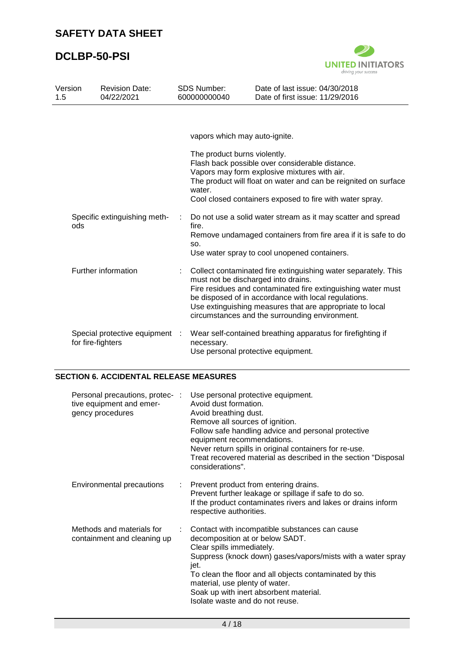

| Version<br>1.5 |                   | <b>Revision Date:</b><br>04/22/2021 | <b>SDS Number:</b><br>600000000040 |                                                 | Date of last issue: 04/30/2018<br>Date of first issue: 11/29/2016                                                                                                                                                                                                                                    |
|----------------|-------------------|-------------------------------------|------------------------------------|-------------------------------------------------|------------------------------------------------------------------------------------------------------------------------------------------------------------------------------------------------------------------------------------------------------------------------------------------------------|
|                |                   |                                     |                                    |                                                 |                                                                                                                                                                                                                                                                                                      |
|                |                   |                                     |                                    | vapors which may auto-ignite.                   |                                                                                                                                                                                                                                                                                                      |
|                | ods               | Specific extinguishing meth-        | ÷                                  | The product burns violently.<br>water.<br>fire. | Flash back possible over considerable distance.<br>Vapors may form explosive mixtures with air.<br>The product will float on water and can be reignited on surface<br>Cool closed containers exposed to fire with water spray.<br>Do not use a solid water stream as it may scatter and spread       |
|                |                   |                                     |                                    | SO.                                             | Remove undamaged containers from fire area if it is safe to do<br>Use water spray to cool unopened containers.                                                                                                                                                                                       |
|                |                   | Further information                 |                                    | must not be discharged into drains.             | Collect contaminated fire extinguishing water separately. This<br>Fire residues and contaminated fire extinguishing water must<br>be disposed of in accordance with local regulations.<br>Use extinguishing measures that are appropriate to local<br>circumstances and the surrounding environment. |
|                | for fire-fighters | Special protective equipment :      |                                    | necessary.                                      | Wear self-contained breathing apparatus for firefighting if<br>Use personal protective equipment.                                                                                                                                                                                                    |

### **SECTION 6. ACCIDENTAL RELEASE MEASURES**

| Personal precautions, protec-:<br>tive equipment and emer-<br>gency procedures |    | Use personal protective equipment.<br>Avoid dust formation.<br>Avoid breathing dust.<br>Remove all sources of ignition.<br>Follow safe handling advice and personal protective<br>equipment recommendations.<br>Never return spills in original containers for re-use.<br>Treat recovered material as described in the section "Disposal<br>considerations".    |
|--------------------------------------------------------------------------------|----|-----------------------------------------------------------------------------------------------------------------------------------------------------------------------------------------------------------------------------------------------------------------------------------------------------------------------------------------------------------------|
| Environmental precautions                                                      | ÷. | Prevent product from entering drains.<br>Prevent further leakage or spillage if safe to do so.<br>If the product contaminates rivers and lakes or drains inform<br>respective authorities.                                                                                                                                                                      |
| Methods and materials for<br>containment and cleaning up                       |    | Contact with incompatible substances can cause<br>decomposition at or below SADT.<br>Clear spills immediately.<br>Suppress (knock down) gases/vapors/mists with a water spray<br>jet.<br>To clean the floor and all objects contaminated by this<br>material, use plenty of water.<br>Soak up with inert absorbent material.<br>Isolate waste and do not reuse. |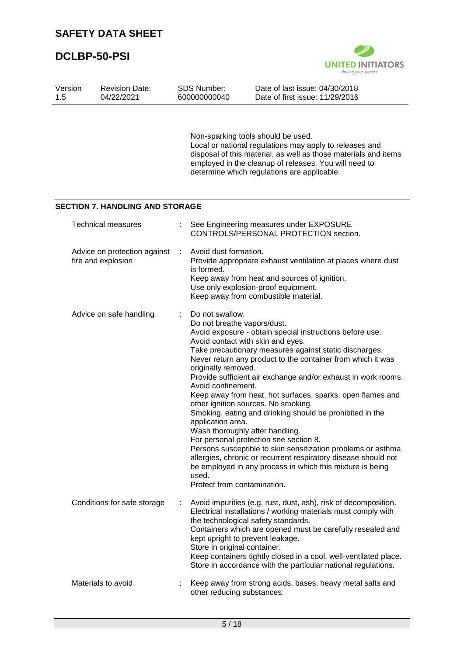

| Version<br>1.5 | <b>Revision Date:</b><br>04/22/2021                |   | <b>SDS Number:</b><br>600000000040                                                                                                                                                                                               | Date of last issue: 04/30/2018<br>Date of first issue: 11/29/2016                                                                                                                                                                                                                                                                                                                                                                                                                                                                                                                                                                                             |
|----------------|----------------------------------------------------|---|----------------------------------------------------------------------------------------------------------------------------------------------------------------------------------------------------------------------------------|---------------------------------------------------------------------------------------------------------------------------------------------------------------------------------------------------------------------------------------------------------------------------------------------------------------------------------------------------------------------------------------------------------------------------------------------------------------------------------------------------------------------------------------------------------------------------------------------------------------------------------------------------------------|
|                |                                                    |   |                                                                                                                                                                                                                                  | Non-sparking tools should be used.<br>Local or national regulations may apply to releases and<br>disposal of this material, as well as those materials and items<br>employed in the cleanup of releases. You will need to<br>determine which regulations are applicable.                                                                                                                                                                                                                                                                                                                                                                                      |
|                | <b>SECTION 7. HANDLING AND STORAGE</b>             |   |                                                                                                                                                                                                                                  |                                                                                                                                                                                                                                                                                                                                                                                                                                                                                                                                                                                                                                                               |
|                | <b>Technical measures</b>                          |   |                                                                                                                                                                                                                                  | See Engineering measures under EXPOSURE<br>CONTROLS/PERSONAL PROTECTION section.                                                                                                                                                                                                                                                                                                                                                                                                                                                                                                                                                                              |
|                | Advice on protection against<br>fire and explosion | ÷ | Avoid dust formation.<br>is formed.                                                                                                                                                                                              | Provide appropriate exhaust ventilation at places where dust<br>Keep away from heat and sources of ignition.<br>Use only explosion-proof equipment.<br>Keep away from combustible material.                                                                                                                                                                                                                                                                                                                                                                                                                                                                   |
|                | Advice on safe handling                            |   | Do not swallow.<br>Do not breathe vapors/dust.<br>Avoid contact with skin and eyes.<br>originally removed.<br>Avoid confinement.<br>application area.<br>Wash thoroughly after handling.<br>used.<br>Protect from contamination. | Avoid exposure - obtain special instructions before use.<br>Take precautionary measures against static discharges.<br>Never return any product to the container from which it was<br>Provide sufficient air exchange and/or exhaust in work rooms.<br>Keep away from heat, hot surfaces, sparks, open flames and<br>other ignition sources. No smoking.<br>Smoking, eating and drinking should be prohibited in the<br>For personal protection see section 8.<br>Persons susceptible to skin sensitization problems or asthma,<br>allergies, chronic or recurrent respiratory disease should not<br>be employed in any process in which this mixture is being |
|                | Conditions for safe storage                        |   | the technological safety standards.<br>kept upright to prevent leakage.<br>Store in original container.                                                                                                                          | Avoid impurities (e.g. rust, dust, ash), risk of decomposition.<br>Electrical installations / working materials must comply with<br>Containers which are opened must be carefully resealed and<br>Keep containers tightly closed in a cool, well-ventilated place.<br>Store in accordance with the particular national regulations.                                                                                                                                                                                                                                                                                                                           |
|                | Materials to avoid                                 |   | other reducing substances.                                                                                                                                                                                                       | Keep away from strong acids, bases, heavy metal salts and                                                                                                                                                                                                                                                                                                                                                                                                                                                                                                                                                                                                     |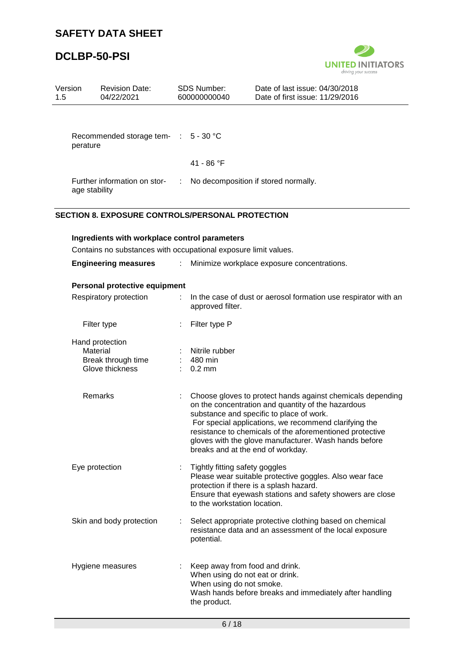

| Version<br>1.5 | <b>Revision Date:</b><br>04/22/2021                                                                              |    | <b>SDS Number:</b><br>600000000040                             | Date of last issue: 04/30/2018<br>Date of first issue: 11/29/2016                                                                                                                                                                                                                                                                                                               |
|----------------|------------------------------------------------------------------------------------------------------------------|----|----------------------------------------------------------------|---------------------------------------------------------------------------------------------------------------------------------------------------------------------------------------------------------------------------------------------------------------------------------------------------------------------------------------------------------------------------------|
|                |                                                                                                                  |    |                                                                |                                                                                                                                                                                                                                                                                                                                                                                 |
| perature       | Recommended storage tem- :                                                                                       |    | $5 - 30 °C$                                                    |                                                                                                                                                                                                                                                                                                                                                                                 |
|                |                                                                                                                  |    | 41 - 86 °F                                                     |                                                                                                                                                                                                                                                                                                                                                                                 |
|                | Further information on stor-<br>age stability                                                                    |    |                                                                | No decomposition if stored normally.                                                                                                                                                                                                                                                                                                                                            |
|                | <b>SECTION 8. EXPOSURE CONTROLS/PERSONAL PROTECTION</b>                                                          |    |                                                                |                                                                                                                                                                                                                                                                                                                                                                                 |
|                | Ingredients with workplace control parameters<br>Contains no substances with occupational exposure limit values. |    |                                                                |                                                                                                                                                                                                                                                                                                                                                                                 |
|                | <b>Engineering measures</b>                                                                                      | ÷. |                                                                | Minimize workplace exposure concentrations.                                                                                                                                                                                                                                                                                                                                     |
|                | Personal protective equipment                                                                                    |    |                                                                |                                                                                                                                                                                                                                                                                                                                                                                 |
|                | Respiratory protection                                                                                           | ÷. | approved filter.                                               | In the case of dust or aerosol formation use respirator with an                                                                                                                                                                                                                                                                                                                 |
|                | Filter type                                                                                                      |    | Filter type P                                                  |                                                                                                                                                                                                                                                                                                                                                                                 |
|                | Hand protection                                                                                                  |    |                                                                |                                                                                                                                                                                                                                                                                                                                                                                 |
|                | Material                                                                                                         |    | Nitrile rubber                                                 |                                                                                                                                                                                                                                                                                                                                                                                 |
|                | Break through time<br>Glove thickness                                                                            |    | 480 min<br>$0.2 \text{ mm}$                                    |                                                                                                                                                                                                                                                                                                                                                                                 |
|                |                                                                                                                  |    |                                                                |                                                                                                                                                                                                                                                                                                                                                                                 |
|                | Remarks                                                                                                          |    |                                                                | Choose gloves to protect hands against chemicals depending<br>on the concentration and quantity of the hazardous<br>substance and specific to place of work.<br>For special applications, we recommend clarifying the<br>resistance to chemicals of the aforementioned protective<br>gloves with the glove manufacturer. Wash hands before<br>breaks and at the end of workday. |
|                | Eye protection                                                                                                   |    | Tightly fitting safety goggles<br>to the workstation location. | Please wear suitable protective goggles. Also wear face<br>protection if there is a splash hazard.<br>Ensure that eyewash stations and safety showers are close                                                                                                                                                                                                                 |
|                | Skin and body protection                                                                                         |    | potential.                                                     | Select appropriate protective clothing based on chemical<br>resistance data and an assessment of the local exposure                                                                                                                                                                                                                                                             |
|                | Hygiene measures                                                                                                 |    | When using do not smoke.<br>the product.                       | Keep away from food and drink.<br>When using do not eat or drink.<br>Wash hands before breaks and immediately after handling                                                                                                                                                                                                                                                    |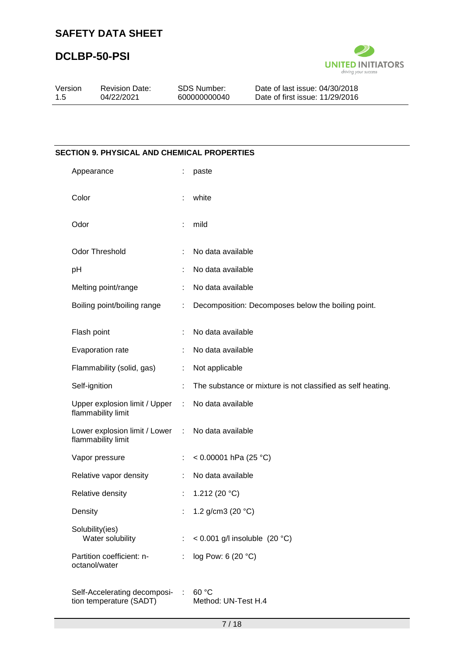

| Version | <b>Revision Date:</b> | SDS Number:  | Date of last issue: 04/30/2018  |
|---------|-----------------------|--------------|---------------------------------|
| -1.5    | 04/22/2021            | 600000000040 | Date of first issue: 11/29/2016 |
|         |                       |              |                                 |

# **SECTION 9. PHYSICAL AND CHEMICAL PROPERTIES** Appearance : paste Color : white Odor : mild Odor Threshold : No data available pH : No data available Melting point/range : No data available Boiling point/boiling range : Decomposition: Decomposes below the boiling point. Flash point : No data available Evaporation rate : No data available Flammability (solid, gas) : Not applicable Self-ignition : The substance or mixture is not classified as self heating. Upper explosion limit / Upper flammability limit : No data available Lower explosion limit / Lower : No data available flammability limit Vapor pressure : < 0.00001 hPa (25 °C) Relative vapor density : No data available Relative density : 1.212 (20 °C) Density : 1.2 g/cm3 (20 °C) Solubility(ies) Water solubility : < 0.001 g/l insoluble (20 °C) Partition coefficient: noctanol/water : log Pow: 6 (20 °C) Self-Accelerating decomposi- : 60 °C tion temperature (SADT) Method: UN-Test H.4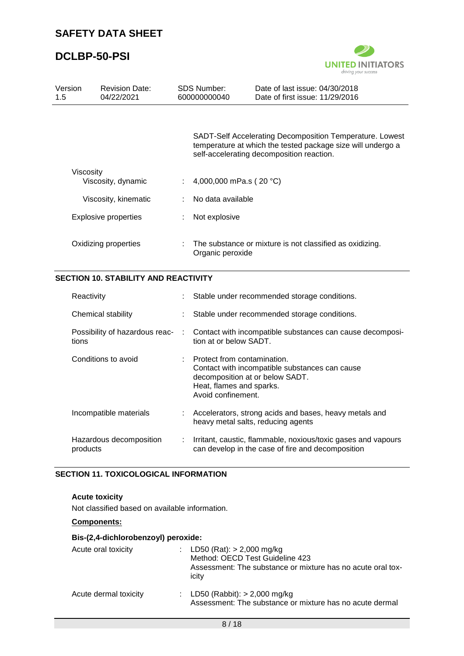

| Version<br>1.5 |                                             | <b>Revision Date:</b><br>04/22/2021 |   | SDS Number:<br>600000000040                                                                                      | Date of last issue: 04/30/2018<br>Date of first issue: 11/29/2016                                                                                                    |
|----------------|---------------------------------------------|-------------------------------------|---|------------------------------------------------------------------------------------------------------------------|----------------------------------------------------------------------------------------------------------------------------------------------------------------------|
|                |                                             |                                     |   |                                                                                                                  | SADT-Self Accelerating Decomposition Temperature. Lowest<br>temperature at which the tested package size will undergo a<br>self-accelerating decomposition reaction. |
|                | Viscosity                                   | Viscosity, dynamic                  | ÷ | 4,000,000 mPa.s (20 °C)                                                                                          |                                                                                                                                                                      |
|                |                                             | Viscosity, kinematic                |   | No data available                                                                                                |                                                                                                                                                                      |
|                |                                             | <b>Explosive properties</b>         |   | Not explosive                                                                                                    |                                                                                                                                                                      |
|                | Oxidizing properties                        |                                     |   | The substance or mixture is not classified as oxidizing.<br>Organic peroxide                                     |                                                                                                                                                                      |
|                | <b>SECTION 10. STABILITY AND REACTIVITY</b> |                                     |   |                                                                                                                  |                                                                                                                                                                      |
|                | Reactivity                                  |                                     |   |                                                                                                                  | Stable under recommended storage conditions.                                                                                                                         |
|                |                                             | Chemical stability                  |   |                                                                                                                  | Stable under recommended storage conditions.                                                                                                                         |
|                | tions                                       | Possibility of hazardous reac-      |   | tion at or below SADT.                                                                                           | Contact with incompatible substances can cause decomposi-                                                                                                            |
|                |                                             | Conditions to avoid                 |   | Protect from contamination.<br>decomposition at or below SADT.<br>Heat, flames and sparks.<br>Avoid confinement. | Contact with incompatible substances can cause                                                                                                                       |
|                |                                             | Incompatible materials              |   |                                                                                                                  | Accelerators, strong acids and bases, heavy metals and<br>heavy metal salts, reducing agents                                                                         |
|                | products                                    | Hazardous decomposition             |   |                                                                                                                  | Irritant, caustic, flammable, noxious/toxic gases and vapours<br>can develop in the case of fire and decomposition                                                   |

### **SECTION 11. TOXICOLOGICAL INFORMATION**

### **Acute toxicity**

Not classified based on available information.

### **Components:**

### **Bis-(2,4-dichlorobenzoyl) peroxide:**

| Acute oral toxicity   | : LD50 (Rat): $> 2,000$ mg/kg<br>Method: OECD Test Guideline 423<br>Assessment: The substance or mixture has no acute oral tox-<br>icity |
|-----------------------|------------------------------------------------------------------------------------------------------------------------------------------|
| Acute dermal toxicity | : LD50 (Rabbit): $> 2,000$ mg/kg<br>Assessment: The substance or mixture has no acute dermal                                             |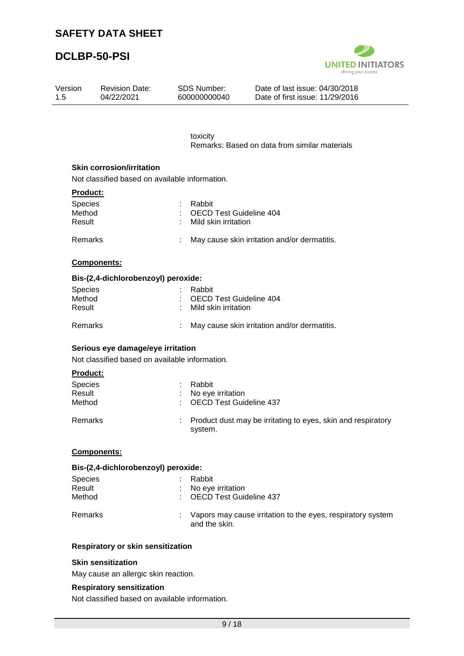Revision Date:

# **DCLBP-50-PSI**

Version



Date of last issue: 04/30/2018

| 04/22/2021                          | 600000000040                                   | Date of first issue: 11/29/2016                              |
|-------------------------------------|------------------------------------------------|--------------------------------------------------------------|
|                                     |                                                |                                                              |
|                                     | toxicity                                       |                                                              |
|                                     |                                                | Remarks: Based on data from similar materials                |
| <b>Skin corrosion/irritation</b>    |                                                |                                                              |
|                                     | Not classified based on available information. |                                                              |
| <b>Product:</b>                     |                                                |                                                              |
| Species                             | Rabbit                                         |                                                              |
| Method                              |                                                | <b>OECD Test Guideline 404</b>                               |
| Result                              | Mild skin irritation                           |                                                              |
| Remarks                             |                                                | May cause skin irritation and/or dermatitis.                 |
| Components:                         |                                                |                                                              |
| Bis-(2,4-dichlorobenzoyl) peroxide: |                                                |                                                              |
| Species                             | Rabbit                                         |                                                              |
| Method                              |                                                | <b>OECD Test Guideline 404</b>                               |
| Result                              | Mild skin irritation                           |                                                              |
|                                     |                                                |                                                              |
| Remarks                             |                                                | May cause skin irritation and/or dermatitis.                 |
| Serious eye damage/eye irritation   |                                                |                                                              |
|                                     | Not classified based on available information. |                                                              |
| Product:                            |                                                |                                                              |
| <b>Species</b>                      | Rabbit                                         |                                                              |
| Result                              | No eye irritation                              |                                                              |
| Method                              |                                                | <b>OECD Test Guideline 437</b>                               |
| Remarks                             | system.                                        | Product dust may be irritating to eyes, skin and respiratory |
| <b>Components:</b>                  |                                                |                                                              |
| Bis-(2,4-dichlorobenzoyl) peroxide: |                                                |                                                              |
| Species                             | Rabbit                                         |                                                              |
| Result                              | No eye irritation                              |                                                              |
| Method                              |                                                | <b>OECD Test Guideline 437</b>                               |

SDS Number:

#### **Skin sensitization**

May cause an allergic skin reaction.

#### **Respiratory sensitization**

Not classified based on available information.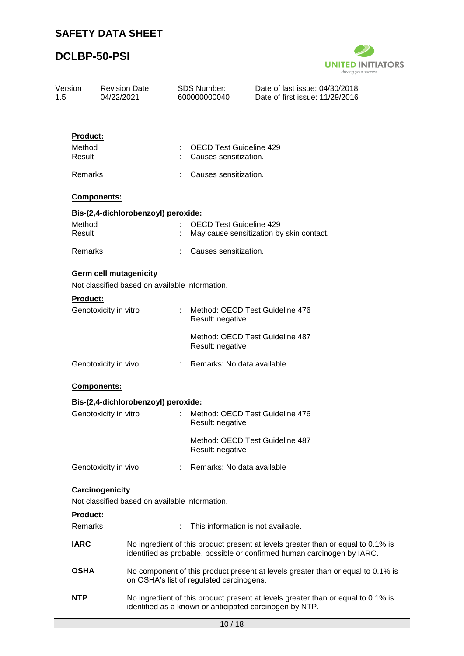

| 1.5 | <b>SDS Number:</b><br>Version<br><b>Revision Date:</b><br>04/22/2021<br>600000000040 |                                                                                 | Date of last issue: 04/30/2018<br>Date of first issue: 11/29/2016 |                                                         |                                                                                                                                                             |
|-----|--------------------------------------------------------------------------------------|---------------------------------------------------------------------------------|-------------------------------------------------------------------|---------------------------------------------------------|-------------------------------------------------------------------------------------------------------------------------------------------------------------|
|     |                                                                                      |                                                                                 |                                                                   |                                                         |                                                                                                                                                             |
|     | <b>Product:</b>                                                                      |                                                                                 |                                                                   |                                                         |                                                                                                                                                             |
|     | Method<br>Result                                                                     |                                                                                 |                                                                   | <b>OECD Test Guideline 429</b><br>Causes sensitization. |                                                                                                                                                             |
|     | Remarks                                                                              |                                                                                 |                                                                   | Causes sensitization.                                   |                                                                                                                                                             |
|     |                                                                                      | Components:                                                                     |                                                                   |                                                         |                                                                                                                                                             |
|     |                                                                                      | Bis-(2,4-dichlorobenzoyl) peroxide:                                             |                                                                   |                                                         |                                                                                                                                                             |
|     | Method<br>Result                                                                     |                                                                                 |                                                                   | <b>OECD Test Guideline 429</b>                          | May cause sensitization by skin contact.                                                                                                                    |
|     | Remarks                                                                              |                                                                                 |                                                                   | Causes sensitization.                                   |                                                                                                                                                             |
|     |                                                                                      | <b>Germ cell mutagenicity</b><br>Not classified based on available information. |                                                                   |                                                         |                                                                                                                                                             |
|     | <b>Product:</b>                                                                      |                                                                                 |                                                                   |                                                         |                                                                                                                                                             |
|     |                                                                                      | Genotoxicity in vitro                                                           |                                                                   | Result: negative                                        | Method: OECD Test Guideline 476                                                                                                                             |
|     |                                                                                      |                                                                                 |                                                                   | Result: negative                                        | Method: OECD Test Guideline 487                                                                                                                             |
|     |                                                                                      | Genotoxicity in vivo                                                            |                                                                   | : Remarks: No data available                            |                                                                                                                                                             |
|     |                                                                                      | Components:                                                                     |                                                                   |                                                         |                                                                                                                                                             |
|     |                                                                                      | Bis-(2,4-dichlorobenzoyl) peroxide:                                             |                                                                   |                                                         |                                                                                                                                                             |
|     |                                                                                      | Genotoxicity in vitro                                                           | ÷                                                                 | Result: negative                                        | Method: OECD Test Guideline 476                                                                                                                             |
|     |                                                                                      |                                                                                 |                                                                   | Result: negative                                        | Method: OECD Test Guideline 487                                                                                                                             |
|     |                                                                                      | Genotoxicity in vivo                                                            |                                                                   | Remarks: No data available                              |                                                                                                                                                             |
|     |                                                                                      | Carcinogenicity                                                                 |                                                                   |                                                         |                                                                                                                                                             |
|     |                                                                                      | Not classified based on available information.                                  |                                                                   |                                                         |                                                                                                                                                             |
|     | <b>Product:</b><br>Remarks                                                           |                                                                                 |                                                                   |                                                         | This information is not available.                                                                                                                          |
|     | <b>IARC</b>                                                                          |                                                                                 |                                                                   |                                                         | No ingredient of this product present at levels greater than or equal to 0.1% is<br>identified as probable, possible or confirmed human carcinogen by IARC. |
|     | <b>OSHA</b>                                                                          |                                                                                 |                                                                   | on OSHA's list of regulated carcinogens.                | No component of this product present at levels greater than or equal to 0.1% is                                                                             |
|     | <b>NTP</b>                                                                           |                                                                                 |                                                                   |                                                         | No ingredient of this product present at levels greater than or equal to 0.1% is<br>identified as a known or anticipated carcinogen by NTP.                 |
|     |                                                                                      |                                                                                 |                                                                   | 10/18                                                   |                                                                                                                                                             |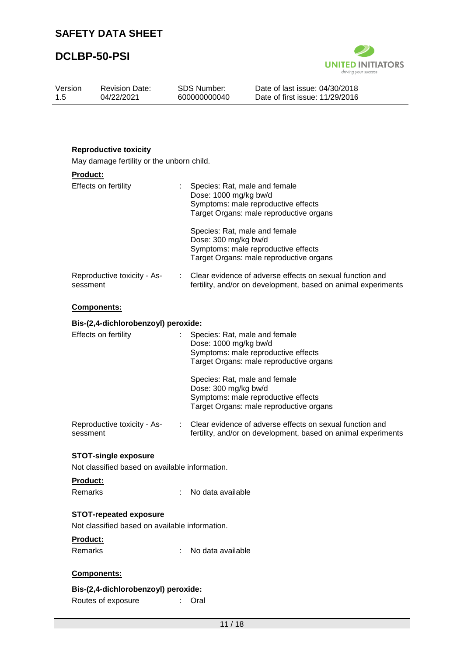Revision Date: 04/22/2021

# **DCLBP-50-PSI**

Version 1.5



Date of last issue: 04/30/2018 Date of first issue: 11/29/2016

| <b>Reproductive toxicity</b><br>May damage fertility or the unborn child. |                                                                                                                                          |
|---------------------------------------------------------------------------|------------------------------------------------------------------------------------------------------------------------------------------|
| Product:                                                                  |                                                                                                                                          |
| Effects on fertility                                                      | Species: Rat, male and female<br>Dose: 1000 mg/kg bw/d<br>Symptoms: male reproductive effects<br>Target Organs: male reproductive organs |
|                                                                           | Species: Rat, male and female<br>Dose: 300 mg/kg bw/d<br>Symptoms: male reproductive effects<br>Target Organs: male reproductive organs  |
| Reproductive toxicity - As-<br>sessment                                   | Clear evidence of adverse effects on sexual function and<br>fertility, and/or on development, based on animal experiments                |
| Components:                                                               |                                                                                                                                          |
| Bis-(2,4-dichlorobenzoyl) peroxide:                                       |                                                                                                                                          |
| Effects on fertility                                                      | Species: Rat, male and female<br>Dose: 1000 mg/kg bw/d<br>Symptoms: male reproductive effects<br>Target Organs: male reproductive organs |
|                                                                           | Species: Rat, male and female<br>Dose: 300 mg/kg bw/d<br>Symptoms: male reproductive effects<br>Target Organs: male reproductive organs  |
| Reproductive toxicity - As-<br>sessment                                   | Clear evidence of adverse effects on sexual function and<br>fertility, and/or on development, based on animal experiments                |
| <b>STOT-single exposure</b>                                               |                                                                                                                                          |
| Not classified based on available information.                            |                                                                                                                                          |
| Product:<br>Remarks                                                       | ÷<br>No data available                                                                                                                   |
| <b>STOT-repeated exposure</b>                                             |                                                                                                                                          |
| Not classified based on available information.                            |                                                                                                                                          |
| Product:<br>Remarks                                                       | No data available                                                                                                                        |
| Components:                                                               |                                                                                                                                          |
|                                                                           |                                                                                                                                          |
| Bis-(2,4-dichlorobenzoyl) peroxide:<br>Routes of exposure                 | Oral                                                                                                                                     |
|                                                                           |                                                                                                                                          |

SDS Number: 600000000040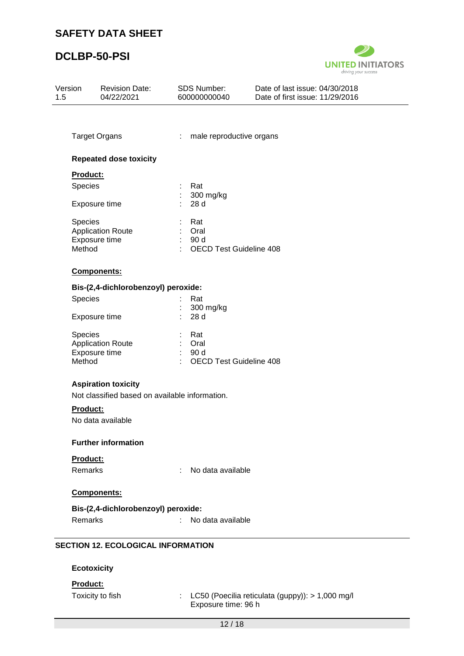

| Version<br>1.5 | <b>Revision Date:</b><br>04/22/2021            | <b>SDS Number:</b><br>600000000040                 | Date of last issue: 04/30/2018<br>Date of first issue: 11/29/2016 |  |  |  |  |
|----------------|------------------------------------------------|----------------------------------------------------|-------------------------------------------------------------------|--|--|--|--|
|                |                                                |                                                    |                                                                   |  |  |  |  |
|                | <b>Target Organs</b>                           | male reproductive organs<br>÷                      |                                                                   |  |  |  |  |
|                | <b>Repeated dose toxicity</b>                  |                                                    |                                                                   |  |  |  |  |
|                | Product:                                       |                                                    |                                                                   |  |  |  |  |
|                | Species                                        | Rat                                                |                                                                   |  |  |  |  |
|                | Exposure time                                  | 300 mg/kg<br>÷.<br>28 d                            |                                                                   |  |  |  |  |
|                | Species                                        | Rat                                                |                                                                   |  |  |  |  |
|                | <b>Application Route</b>                       | ÷.<br>Oral                                         |                                                                   |  |  |  |  |
|                | Exposure time<br>Method                        | 90 d<br>t.<br>÷.<br><b>OECD Test Guideline 408</b> |                                                                   |  |  |  |  |
|                |                                                |                                                    |                                                                   |  |  |  |  |
|                | Components:                                    |                                                    |                                                                   |  |  |  |  |
|                | Bis-(2,4-dichlorobenzoyl) peroxide:            |                                                    |                                                                   |  |  |  |  |
|                | Species                                        | Rat                                                |                                                                   |  |  |  |  |
|                | Exposure time                                  | 300 mg/kg<br>28 d                                  |                                                                   |  |  |  |  |
|                | Species                                        | Rat                                                |                                                                   |  |  |  |  |
|                | <b>Application Route</b>                       | ÷.<br>Oral                                         |                                                                   |  |  |  |  |
|                | Exposure time                                  | 90 d<br>$\mathbb{R}^{\mathbb{Z}}$                  |                                                                   |  |  |  |  |
|                | Method                                         | ÷<br><b>OECD Test Guideline 408</b>                |                                                                   |  |  |  |  |
|                | <b>Aspiration toxicity</b>                     |                                                    |                                                                   |  |  |  |  |
|                | Not classified based on available information. |                                                    |                                                                   |  |  |  |  |
|                | Product:                                       |                                                    |                                                                   |  |  |  |  |
|                | No data available                              |                                                    |                                                                   |  |  |  |  |
|                | <b>Further information</b>                     |                                                    |                                                                   |  |  |  |  |
|                | Product:                                       |                                                    |                                                                   |  |  |  |  |
|                | Remarks                                        | No data available<br>÷                             |                                                                   |  |  |  |  |
|                | Components:                                    |                                                    |                                                                   |  |  |  |  |
|                | Bis-(2,4-dichlorobenzoyl) peroxide:            |                                                    |                                                                   |  |  |  |  |
|                | Remarks                                        | No data available<br>÷.                            |                                                                   |  |  |  |  |
|                |                                                |                                                    |                                                                   |  |  |  |  |
|                | <b>SECTION 12. ECOLOGICAL INFORMATION</b>      |                                                    |                                                                   |  |  |  |  |
|                | <b>Ecotoxicity</b>                             |                                                    |                                                                   |  |  |  |  |
|                | Product:                                       |                                                    |                                                                   |  |  |  |  |
|                | Toxicity to fish                               | $\mathbb{R}^{\mathbb{Z}}$                          | LC50 (Poecilia reticulata (guppy)): > 1,000 mg/l                  |  |  |  |  |
|                |                                                | Exposure time: 96 h                                |                                                                   |  |  |  |  |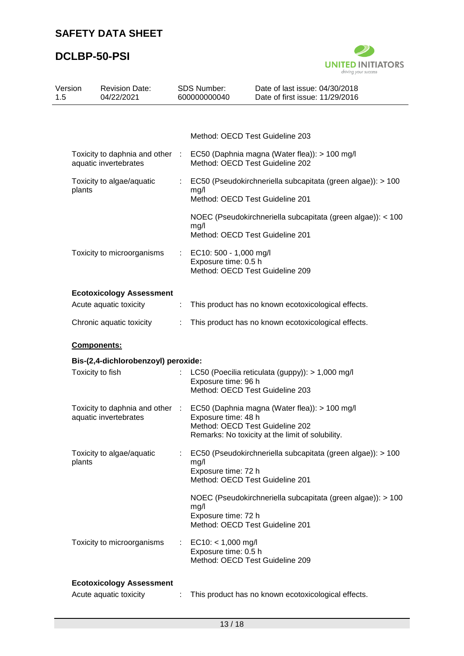

| 1.5 | Version            | <b>Revision Date:</b><br>04/22/2021                      |    | SDS Number:<br>600000000040                                                       | Date of last issue: 04/30/2018<br>Date of first issue: 11/29/2016                                 |
|-----|--------------------|----------------------------------------------------------|----|-----------------------------------------------------------------------------------|---------------------------------------------------------------------------------------------------|
|     |                    |                                                          |    |                                                                                   |                                                                                                   |
|     |                    |                                                          |    | Method: OECD Test Guideline 203                                                   |                                                                                                   |
|     |                    | aquatic invertebrates                                    |    | Method: OECD Test Guideline 202                                                   | Toxicity to daphnia and other : EC50 (Daphnia magna (Water flea)): > 100 mg/l                     |
|     | plants             | Toxicity to algae/aquatic                                | ÷. | mg/l<br>Method: OECD Test Guideline 201                                           | EC50 (Pseudokirchneriella subcapitata (green algae)): > 100                                       |
|     |                    |                                                          |    | mg/l<br>Method: OECD Test Guideline 201                                           | NOEC (Pseudokirchneriella subcapitata (green algae)): < 100                                       |
|     |                    | Toxicity to microorganisms                               |    | EC10: 500 - 1,000 mg/l<br>Exposure time: 0.5 h<br>Method: OECD Test Guideline 209 |                                                                                                   |
|     |                    | <b>Ecotoxicology Assessment</b>                          |    |                                                                                   |                                                                                                   |
|     |                    | Acute aquatic toxicity                                   | ÷. |                                                                                   | This product has no known ecotoxicological effects.                                               |
|     |                    | Chronic aquatic toxicity                                 |    |                                                                                   | This product has no known ecotoxicological effects.                                               |
|     | <b>Components:</b> |                                                          |    |                                                                                   |                                                                                                   |
|     |                    | Bis-(2,4-dichlorobenzoyl) peroxide:                      |    |                                                                                   |                                                                                                   |
|     | Toxicity to fish   |                                                          |    | Exposure time: 96 h<br>Method: OECD Test Guideline 203                            | LC50 (Poecilia reticulata (guppy)): > 1,000 mg/l                                                  |
|     |                    | Toxicity to daphnia and other :<br>aquatic invertebrates |    | Exposure time: 48 h<br>Method: OECD Test Guideline 202                            | EC50 (Daphnia magna (Water flea)): > 100 mg/l<br>Remarks: No toxicity at the limit of solubility. |
|     | plants             | Toxicity to algae/aquatic                                |    | mg/l<br>Exposure time: 72 h<br>Method: OECD Test Guideline 201                    | EC50 (Pseudokirchneriella subcapitata (green algae)): > 100                                       |
|     |                    |                                                          |    | mg/l<br>Exposure time: 72 h<br>Method: OECD Test Guideline 201                    | NOEC (Pseudokirchneriella subcapitata (green algae)): > 100                                       |
|     |                    | Toxicity to microorganisms                               |    | $EC10: < 1,000$ mg/l<br>Exposure time: 0.5 h<br>Method: OECD Test Guideline 209   |                                                                                                   |
|     |                    | <b>Ecotoxicology Assessment</b>                          |    |                                                                                   |                                                                                                   |
|     |                    | Acute aquatic toxicity                                   |    |                                                                                   | This product has no known ecotoxicological effects.                                               |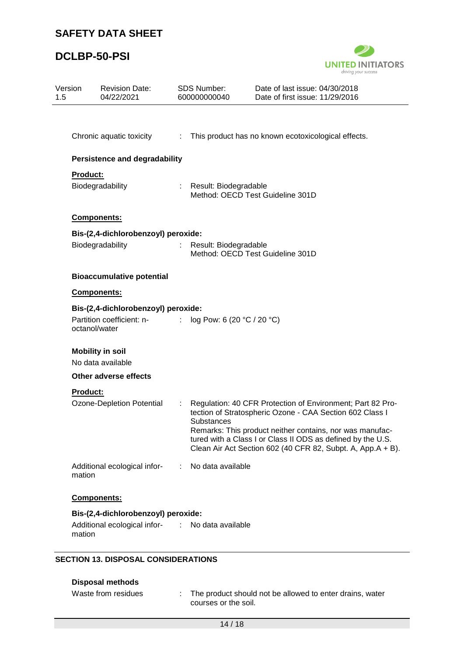# **DCLBP-50-PSI**



| Version                             | <b>Revision Date:</b><br>04/22/2021              |                               | <b>SDS Number:</b><br>600000000040 | Date of last issue: 04/30/2018<br>Date of first issue: 11/29/2016                                                                                                                                                                                                                                                |
|-------------------------------------|--------------------------------------------------|-------------------------------|------------------------------------|------------------------------------------------------------------------------------------------------------------------------------------------------------------------------------------------------------------------------------------------------------------------------------------------------------------|
|                                     |                                                  |                               |                                    |                                                                                                                                                                                                                                                                                                                  |
|                                     | Chronic aquatic toxicity                         |                               |                                    | : This product has no known ecotoxicological effects.                                                                                                                                                                                                                                                            |
|                                     | <b>Persistence and degradability</b>             |                               |                                    |                                                                                                                                                                                                                                                                                                                  |
| Product:                            | Biodegradability                                 |                               | Result: Biodegradable              | Method: OECD Test Guideline 301D                                                                                                                                                                                                                                                                                 |
|                                     | Components:                                      |                               |                                    |                                                                                                                                                                                                                                                                                                                  |
|                                     | Bis-(2,4-dichlorobenzoyl) peroxide:              |                               |                                    |                                                                                                                                                                                                                                                                                                                  |
|                                     | Biodegradability                                 |                               | Result: Biodegradable              | Method: OECD Test Guideline 301D                                                                                                                                                                                                                                                                                 |
|                                     | <b>Bioaccumulative potential</b>                 |                               |                                    |                                                                                                                                                                                                                                                                                                                  |
|                                     | Components:                                      |                               |                                    |                                                                                                                                                                                                                                                                                                                  |
| Bis-(2,4-dichlorobenzoyl) peroxide: |                                                  |                               |                                    |                                                                                                                                                                                                                                                                                                                  |
|                                     | Partition coefficient: n-<br>octanol/water       | $\mathcal{I}^{\mathcal{I}}$ . | log Pow: 6 (20 °C / 20 °C)         |                                                                                                                                                                                                                                                                                                                  |
|                                     | <b>Mobility in soil</b>                          |                               |                                    |                                                                                                                                                                                                                                                                                                                  |
|                                     | No data available                                |                               |                                    |                                                                                                                                                                                                                                                                                                                  |
|                                     | Other adverse effects                            |                               |                                    |                                                                                                                                                                                                                                                                                                                  |
| <b>Product:</b>                     |                                                  |                               |                                    |                                                                                                                                                                                                                                                                                                                  |
|                                     | Ozone-Depletion Potential                        |                               | <b>Substances</b>                  | Regulation: 40 CFR Protection of Environment; Part 82 Pro-<br>tection of Stratospheric Ozone - CAA Section 602 Class I<br>Remarks: This product neither contains, nor was manufac-<br>tured with a Class I or Class II ODS as defined by the U.S.<br>Clean Air Act Section 602 (40 CFR 82, Subpt. A, App.A + B). |
| mation                              | Additional ecological infor-                     | ÷.                            | No data available                  |                                                                                                                                                                                                                                                                                                                  |
|                                     | <b>Components:</b>                               |                               |                                    |                                                                                                                                                                                                                                                                                                                  |
|                                     | Bis-(2,4-dichlorobenzoyl) peroxide:              |                               |                                    |                                                                                                                                                                                                                                                                                                                  |
| mation                              | Additional ecological infor- : No data available |                               |                                    |                                                                                                                                                                                                                                                                                                                  |

### **SECTION 13. DISPOSAL CONSIDERATIONS**

| <b>Disposal methods</b> |  |
|-------------------------|--|
|-------------------------|--|

| Waste from residues | The product should not be allowed to enter drains, water |
|---------------------|----------------------------------------------------------|
|                     | courses or the soil.                                     |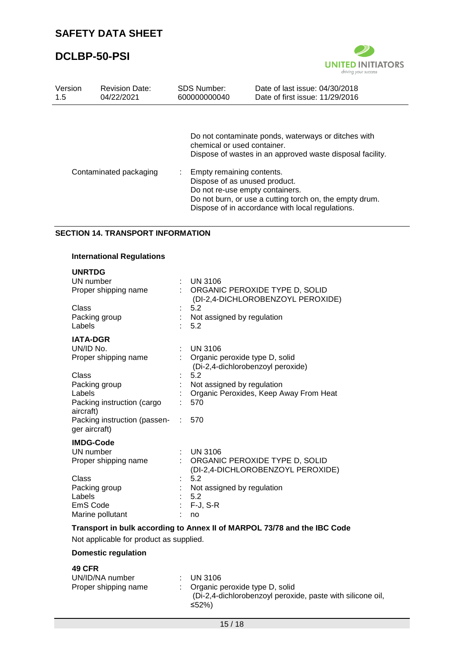

| Version | <b>Revision Date:</b>  | <b>SDS Number:</b>                                                                                                                 | Date of last issue: 04/30/2018                                                                                                                                                                                                  |
|---------|------------------------|------------------------------------------------------------------------------------------------------------------------------------|---------------------------------------------------------------------------------------------------------------------------------------------------------------------------------------------------------------------------------|
| 1.5     | 04/22/2021             | 600000000040                                                                                                                       | Date of first issue: 11/29/2016                                                                                                                                                                                                 |
|         | Contaminated packaging | chemical or used container.<br>Empty remaining contents.<br>÷.<br>Dispose of as unused product.<br>Do not re-use empty containers. | Do not contaminate ponds, waterways or ditches with<br>Dispose of wastes in an approved waste disposal facility.<br>Do not burn, or use a cutting torch on, the empty drum.<br>Dispose of in accordance with local regulations. |

#### **SECTION 14. TRANSPORT INFORMATION**

#### **International Regulations**

| <b>UNRTDG</b>                                   |    |                                                                          |
|-------------------------------------------------|----|--------------------------------------------------------------------------|
| UN number                                       |    | <b>UN 3106</b>                                                           |
| Proper shipping name                            |    | : ORGANIC PEROXIDE TYPE D, SOLID<br>(DI-2,4-DICHLOROBENZOYL PEROXIDE)    |
| Class                                           |    | 5.2                                                                      |
| Packing group                                   |    | Not assigned by regulation                                               |
| Labels                                          |    | 5.2                                                                      |
| <b>IATA-DGR</b>                                 |    |                                                                          |
| UN/ID No.                                       |    | <b>UN 3106</b>                                                           |
| Proper shipping name                            |    | Organic peroxide type D, solid                                           |
|                                                 |    | (Di-2,4-dichlorobenzoyl peroxide)                                        |
| Class                                           |    | 5.2                                                                      |
| Packing group                                   |    | Not assigned by regulation                                               |
| Labels                                          |    | Organic Peroxides, Keep Away From Heat                                   |
| Packing instruction (cargo<br>aircraft)         |    | 570                                                                      |
| Packing instruction (passen- :<br>ger aircraft) |    | 570                                                                      |
| <b>IMDG-Code</b>                                |    |                                                                          |
| UN number                                       | ÷. | <b>UN 3106</b>                                                           |
| Proper shipping name                            |    | ORGANIC PEROXIDE TYPE D, SOLID                                           |
|                                                 |    | (DI-2,4-DICHLOROBENZOYL PEROXIDE)                                        |
| Class                                           |    | 5.2                                                                      |
| Packing group                                   |    | Not assigned by regulation                                               |
| Labels                                          |    | 5.2                                                                      |
| EmS Code                                        |    | F-J, S-R                                                                 |
| Marine pollutant                                |    | no                                                                       |
|                                                 |    | Transport in bulk according to Annex II of MARPOL 73/78 and the IBC Code |

Not applicable for product as supplied.

### **Domestic regulation**

### **49 CFR**

| UN/ID/NA number      | $\therefore$ UN 3106                                                                                               |
|----------------------|--------------------------------------------------------------------------------------------------------------------|
| Proper shipping name | $\therefore$ Organic peroxide type D, solid<br>(Di-2,4-dichlorobenzoyl peroxide, paste with silicone oil,<br>≤52%) |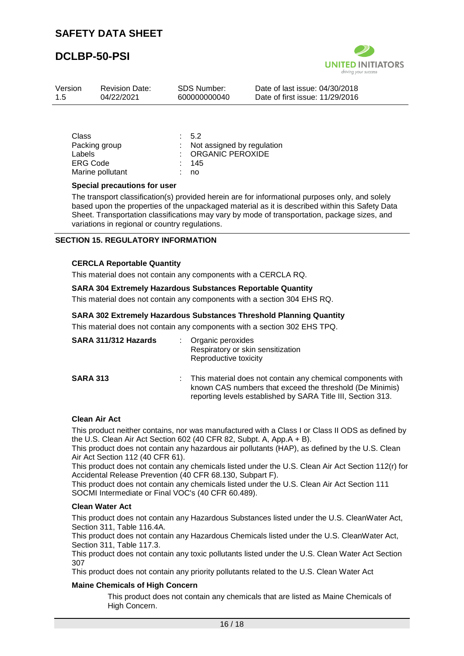

| Version | <b>Revision Date:</b> | SDS Number:  | Date of last issue: 04/30/2018  |
|---------|-----------------------|--------------|---------------------------------|
| -1.5    | 04/22/2021            | 600000000040 | Date of first issue: 11/29/2016 |
|         |                       |              |                                 |

| Class            | 5.2                          |
|------------------|------------------------------|
| Packing group    | : Not assigned by regulation |
| Labels           | : ORGANIC PEROXIDE           |
| <b>ERG Code</b>  | : 145                        |
| Marine pollutant | no.                          |

#### **Special precautions for user**

The transport classification(s) provided herein are for informational purposes only, and solely based upon the properties of the unpackaged material as it is described within this Safety Data Sheet. Transportation classifications may vary by mode of transportation, package sizes, and variations in regional or country regulations.

#### **SECTION 15. REGULATORY INFORMATION**

#### **CERCLA Reportable Quantity**

This material does not contain any components with a CERCLA RQ.

#### **SARA 304 Extremely Hazardous Substances Reportable Quantity**

This material does not contain any components with a section 304 EHS RQ.

#### **SARA 302 Extremely Hazardous Substances Threshold Planning Quantity**

This material does not contain any components with a section 302 EHS TPQ.

| SARA 311/312 Hazards | Organic peroxides<br>Respiratory or skin sensitization<br>Reproductive toxicity                                                                                                         |
|----------------------|-----------------------------------------------------------------------------------------------------------------------------------------------------------------------------------------|
| <b>SARA 313</b>      | This material does not contain any chemical components with<br>known CAS numbers that exceed the threshold (De Minimis)<br>reporting levels established by SARA Title III, Section 313. |

#### **Clean Air Act**

This product neither contains, nor was manufactured with a Class I or Class II ODS as defined by the U.S. Clean Air Act Section 602 (40 CFR 82, Subpt. A, App.A + B).

This product does not contain any hazardous air pollutants (HAP), as defined by the U.S. Clean Air Act Section 112 (40 CFR 61).

This product does not contain any chemicals listed under the U.S. Clean Air Act Section 112(r) for Accidental Release Prevention (40 CFR 68.130, Subpart F).

This product does not contain any chemicals listed under the U.S. Clean Air Act Section 111 SOCMI Intermediate or Final VOC's (40 CFR 60.489).

#### **Clean Water Act**

This product does not contain any Hazardous Substances listed under the U.S. CleanWater Act, Section 311, Table 116.4A.

This product does not contain any Hazardous Chemicals listed under the U.S. CleanWater Act, Section 311, Table 117.3.

This product does not contain any toxic pollutants listed under the U.S. Clean Water Act Section 307

This product does not contain any priority pollutants related to the U.S. Clean Water Act

#### **Maine Chemicals of High Concern**

This product does not contain any chemicals that are listed as Maine Chemicals of High Concern.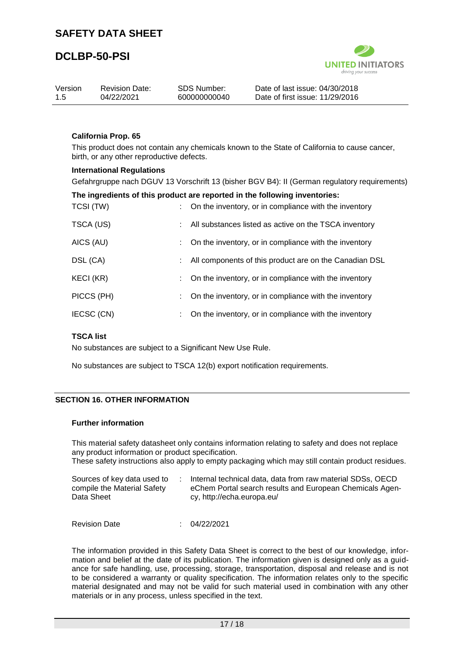

| Version<br>-1.5 | <b>Revision Date:</b><br>04/22/2021 | SDS Number:<br>600000000040 | Date of last issue: 04/30/2018<br>Date of first issue: 11/29/2016 |
|-----------------|-------------------------------------|-----------------------------|-------------------------------------------------------------------|
|                 |                                     |                             |                                                                   |
|                 |                                     |                             |                                                                   |

### **California Prop. 65**

This product does not contain any chemicals known to the State of California to cause cancer, birth, or any other reproductive defects.

#### **International Regulations**

Gefahrgruppe nach DGUV 13 Vorschrift 13 (bisher BGV B4): II (German regulatory requirements)

|            | The ingredients of this product are reported in the following inventories: |
|------------|----------------------------------------------------------------------------|
| TCSI (TW)  | On the inventory, or in compliance with the inventory                      |
| TSCA (US)  | All substances listed as active on the TSCA inventory                      |
| AICS (AU)  | On the inventory, or in compliance with the inventory                      |
| DSL (CA)   | All components of this product are on the Canadian DSL                     |
| KECI (KR)  | On the inventory, or in compliance with the inventory                      |
| PICCS (PH) | On the inventory, or in compliance with the inventory                      |
| IECSC (CN) | On the inventory, or in compliance with the inventory                      |

#### **TSCA list**

No substances are subject to a Significant New Use Rule.

No substances are subject to TSCA 12(b) export notification requirements.

#### **SECTION 16. OTHER INFORMATION**

#### **Further information**

This material safety datasheet only contains information relating to safety and does not replace any product information or product specification.

These safety instructions also apply to empty packaging which may still contain product residues.

| Sources of key data used to | Internal technical data, data from raw material SDSs, OECD |
|-----------------------------|------------------------------------------------------------|
| compile the Material Safety | eChem Portal search results and European Chemicals Agen-   |
| Data Sheet                  | cy, http://echa.europa.eu/                                 |

Revision Date : 04/22/2021

The information provided in this Safety Data Sheet is correct to the best of our knowledge, information and belief at the date of its publication. The information given is designed only as a guidance for safe handling, use, processing, storage, transportation, disposal and release and is not to be considered a warranty or quality specification. The information relates only to the specific material designated and may not be valid for such material used in combination with any other materials or in any process, unless specified in the text.